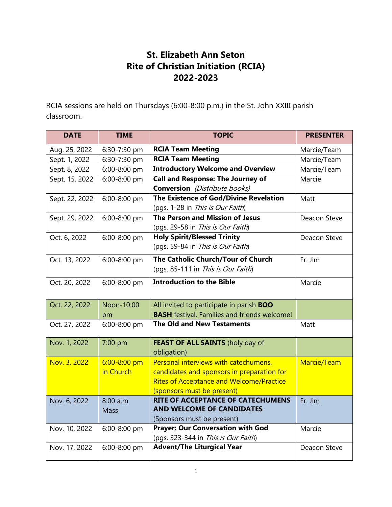## **St. Elizabeth Ann Seton Rite of Christian Initiation (RCIA) 2022-2023**

RCIA sessions are held on Thursdays (6:00-8:00 p.m.) in the St. John XXIII parish classroom.

| <b>DATE</b>    | <b>TIME</b>      | <b>TOPIC</b>                                        | <b>PRESENTER</b> |
|----------------|------------------|-----------------------------------------------------|------------------|
| Aug. 25, 2022  | 6:30-7:30 pm     | <b>RCIA Team Meeting</b>                            | Marcie/Team      |
| Sept. 1, 2022  | 6:30-7:30 pm     | <b>RCIA Team Meeting</b>                            | Marcie/Team      |
| Sept. 8, 2022  | 6:00-8:00 pm     | <b>Introductory Welcome and Overview</b>            | Marcie/Team      |
| Sept. 15, 2022 | 6:00-8:00 pm     | <b>Call and Response: The Journey of</b>            | Marcie           |
|                |                  | <b>Conversion</b> (Distribute books)                |                  |
| Sept. 22, 2022 | 6:00-8:00 pm     | The Existence of God/Divine Revelation              | Matt             |
|                |                  | (pgs. 1-28 in This is Our Faith)                    |                  |
| Sept. 29, 2022 | 6:00-8:00 pm     | The Person and Mission of Jesus                     | Deacon Steve     |
|                |                  | (pgs. 29-58 in This is Our Faith)                   |                  |
| Oct. 6, 2022   | 6:00-8:00 pm     | <b>Holy Spirit/Blessed Trinity</b>                  | Deacon Steve     |
|                |                  | (pgs. 59-84 in This is Our Faith)                   |                  |
| Oct. 13, 2022  | 6:00-8:00 pm     | The Catholic Church/Tour of Church                  | Fr. Jim          |
|                |                  | (pgs. 85-111 in This is Our Faith)                  |                  |
| Oct. 20, 2022  | 6:00-8:00 pm     | <b>Introduction to the Bible</b>                    | Marcie           |
|                |                  |                                                     |                  |
| Oct. 22, 2022  | Noon-10:00       | All invited to participate in parish BOO            |                  |
|                | pm               | <b>BASH</b> festival. Families and friends welcome! |                  |
| Oct. 27, 2022  | 6:00-8:00 pm     | <b>The Old and New Testaments</b>                   | Matt             |
| Nov. 1, 2022   | 7:00 pm          | FEAST OF ALL SAINTS (holy day of                    |                  |
|                |                  | obligation)                                         |                  |
| Nov. 3, 2022   | $6:00 - 8:00$ pm | Personal interviews with catechumens,               | Marcie/Team      |
|                | in Church        | candidates and sponsors in preparation for          |                  |
|                |                  | <b>Rites of Acceptance and Welcome/Practice</b>     |                  |
|                |                  | (sponsors must be present)                          |                  |
| Nov. 6, 2022   | 8:00 a.m.        | <b>RITE OF ACCEPTANCE OF CATECHUMENS</b>            | Fr. Jim          |
|                | <b>Mass</b>      | <b>AND WELCOME OF CANDIDATES</b>                    |                  |
|                |                  | (Sponsors must be present)                          |                  |
| Nov. 10, 2022  | 6:00-8:00 pm     | <b>Prayer: Our Conversation with God</b>            | Marcie           |
|                |                  | (pgs. 323-344 in This is Our Faith)                 |                  |
| Nov. 17, 2022  | 6:00-8:00 pm     | <b>Advent/The Liturgical Year</b>                   | Deacon Steve     |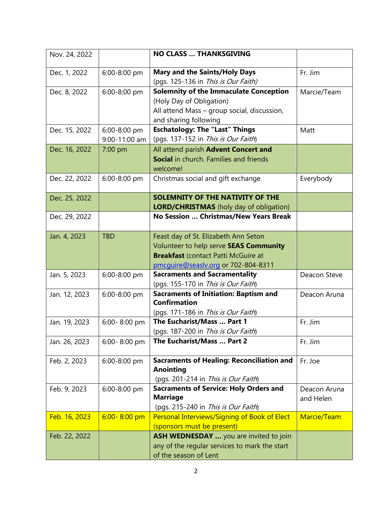| Nov. 24, 2022 |                               | <b>NO CLASS  THANKSGIVING</b>                                                                                                                                       |                           |
|---------------|-------------------------------|---------------------------------------------------------------------------------------------------------------------------------------------------------------------|---------------------------|
| Dec. 1, 2022  | 6:00-8:00 pm                  | <b>Mary and the Saints/Holy Days</b><br>(pgs. 125-136 in This is Our Faith)                                                                                         | Fr. Jim                   |
| Dec. 8, 2022  | 6:00-8:00 pm                  | <b>Solemnity of the Immaculate Conception</b><br>(Holy Day of Obligation)<br>All attend Mass - group social, discussion,<br>and sharing following                   | Marcie/Team               |
| Dec. 15, 2022 | 6:00-8:00 pm<br>9:00-11:00 am | <b>Eschatology: The "Last" Things</b><br>(pgs. 137-152 in This is Our Faith)                                                                                        | Matt                      |
| Dec. 16, 2022 | 7:00 pm                       | All attend parish Advent Concert and<br>Social in church. Families and friends<br>welcome!                                                                          |                           |
| Dec. 22, 2022 | 6:00-8:00 pm                  | Christmas social and gift exchange                                                                                                                                  | Everybody                 |
| Dec. 25, 2022 |                               | <b>SOLEMNITY OF THE NATIVITY OF THE</b><br><b>LORD/CHRISTMAS</b> (holy day of obligation)                                                                           |                           |
| Dec. 29, 2022 |                               | No Session  Christmas/New Years Break                                                                                                                               |                           |
| Jan. 4, 2023  | <b>TBD</b>                    | Feast day of St. Elizabeth Ann Seton<br>Volunteer to help serve SEAS Community<br><b>Breakfast (contact Patti McGuire at</b><br>pmcquire@seaslv.org or 702-804-8311 |                           |
| Jan. 5, 2023  | 6:00-8:00 pm                  | <b>Sacraments and Sacramentality</b><br>(pgs. 155-170 in This is Our Faith)                                                                                         | Deacon Steve              |
| Jan. 12, 2023 | 6:00-8:00 pm                  | <b>Sacraments of Initiation: Baptism and</b><br><b>Confirmation</b><br>(pgs. 171-186 in This is Our Faith)                                                          | Deacon Aruna              |
| Jan. 19, 2023 | 6:00-8:00 pm                  | The Eucharist/Mass  Part 1<br>(pgs. 187-200 in This is Our Faith)                                                                                                   | Fr. Jim                   |
| Jan. 26, 2023 | 6:00-8:00 pm                  | The Eucharist/Mass  Part 2                                                                                                                                          | Fr. Jim                   |
| Feb. 2, 2023  | 6:00-8:00 pm                  | <b>Sacraments of Healing: Reconciliation and</b><br><b>Anointing</b><br>(pgs. 201-214 in This is Our Faith)                                                         | Fr. Joe                   |
| Feb. 9, 2023  | 6:00-8:00 pm                  | <b>Sacraments of Service: Holy Orders and</b><br><b>Marriage</b><br>(pgs. 215-240 in This is Our Faith)                                                             | Deacon Aruna<br>and Helen |
| Feb. 16, 2023 | $6:00 - 8:00$ pm              | Personal Interviews/Signing of Book of Elect<br>(sponsors must be present)                                                                                          | Marcie/Team               |
| Feb. 22, 2022 |                               | ASH WEDNESDAY  you are invited to join<br>any of the regular services to mark the start<br>of the season of Lent                                                    |                           |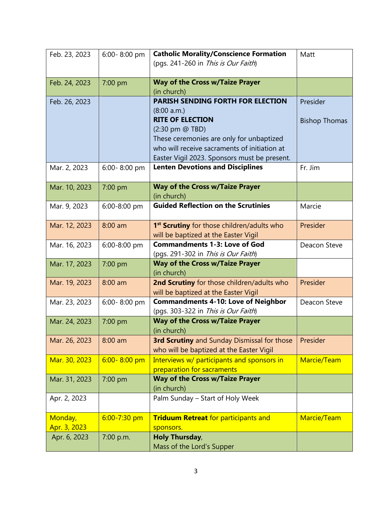| Feb. 23, 2023 | 6:00-8:00 pm     | <b>Catholic Morality/Conscience Formation</b>                                                  | Matt                 |
|---------------|------------------|------------------------------------------------------------------------------------------------|----------------------|
|               |                  | (pgs. 241-260 in This is Our Faith)                                                            |                      |
| Feb. 24, 2023 | 7:00 pm          | <b>Way of the Cross w/Taize Prayer</b>                                                         |                      |
|               |                  | (in church)                                                                                    |                      |
| Feb. 26, 2023 |                  | <b>PARISH SENDING FORTH FOR ELECTION</b>                                                       | Presider             |
|               |                  | (8:00 a.m.)                                                                                    |                      |
|               |                  | <b>RITE OF ELECTION</b>                                                                        | <b>Bishop Thomas</b> |
|               |                  | (2:30 pm @ TBD)<br>These ceremonies are only for unbaptized                                    |                      |
|               |                  | who will receive sacraments of initiation at                                                   |                      |
|               |                  | Easter Vigil 2023. Sponsors must be present.                                                   |                      |
| Mar. 2, 2023  | 6:00-8:00 pm     | <b>Lenten Devotions and Disciplines</b>                                                        | Fr. Jim              |
|               |                  |                                                                                                |                      |
| Mar. 10, 2023 | 7:00 pm          | <b>Way of the Cross w/Taize Prayer</b>                                                         |                      |
|               |                  | (in church)                                                                                    |                      |
| Mar. 9, 2023  | 6:00-8:00 pm     | <b>Guided Reflection on the Scrutinies</b>                                                     | Marcie               |
| Mar. 12, 2023 | $8:00$ am        | 1 <sup>st</sup> Scrutiny for those children/adults who                                         | Presider             |
|               |                  | will be baptized at the Easter Vigil                                                           |                      |
| Mar. 16, 2023 | 6:00-8:00 pm     | <b>Commandments 1-3: Love of God</b>                                                           | Deacon Steve         |
|               |                  | (pgs. 291-302 in This is Our Faith)                                                            |                      |
| Mar. 17, 2023 | 7:00 pm          | <b>Way of the Cross w/Taize Prayer</b>                                                         |                      |
|               |                  | (in church)                                                                                    |                      |
| Mar. 19, 2023 | $8:00$ am        | 2nd Scrutiny for those children/adults who                                                     | Presider             |
|               |                  | will be baptized at the Easter Vigil                                                           |                      |
| Mar. 23, 2023 | 6:00-8:00 pm     | <b>Commandments 4-10: Love of Neighbor</b>                                                     | Deacon Steve         |
|               |                  | (pgs. 303-322 in This is Our Faith)                                                            |                      |
| Mar. 24, 2023 | 7:00 pm          | <b>Way of the Cross w/Taize Prayer</b>                                                         |                      |
|               |                  | (in church)                                                                                    |                      |
| Mar. 26, 2023 | $8:00$ am        | <b>3rd Scrutiny</b> and Sunday Dismissal for those<br>who will be baptized at the Easter Vigil | Presider             |
| Mar. 30, 2023 | $6:00 - 8:00$ pm | Interviews w/ participants and sponsors in                                                     | Marcie/Team          |
|               |                  | preparation for sacraments                                                                     |                      |
| Mar. 31, 2023 | 7:00 pm          | <b>Way of the Cross w/Taize Prayer</b>                                                         |                      |
|               |                  | (in church)                                                                                    |                      |
| Apr. 2, 2023  |                  | Palm Sunday - Start of Holy Week                                                               |                      |
| Monday,       | $6:00 - 7:30$ pm | <b>Triduum Retreat for participants and</b>                                                    | Marcie/Team          |
| Apr. 3, 2023  |                  | sponsors.                                                                                      |                      |
| Apr. 6, 2023  | 7:00 p.m.        | <b>Holy Thursday,</b>                                                                          |                      |
|               |                  | Mass of the Lord's Supper                                                                      |                      |